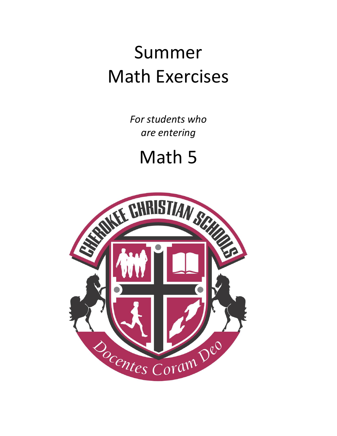## Summer Math Exercises

*For students who are entering*

Math 5

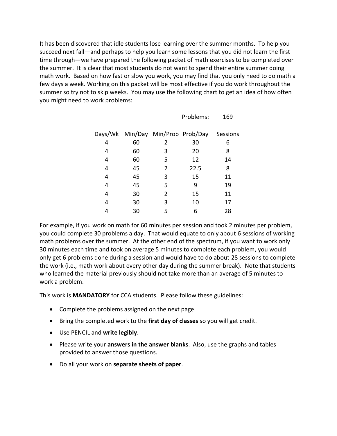It has been discovered that idle students lose learning over the summer months. To help you succeed next fall—and perhaps to help you learn some lessons that you did not learn the first time through—we have prepared the following packet of math exercises to be completed over the summer. It is clear that most students do not want to spend their entire summer doing math work. Based on how fast or slow you work, you may find that you only need to do math a few days a week. Working on this packet will be most effective if you do work throughout the summer so try not to skip weeks. You may use the following chart to get an idea of how often you might need to work problems:

|         |    |                           | Problems: | 169      |
|---------|----|---------------------------|-----------|----------|
| Days/Wk |    | Min/Day Min/Prob Prob/Day |           | Sessions |
| 4       | 60 | 2                         | 30        | 6        |
| 4       | 60 | 3                         | 20        | 8        |
| 4       | 60 | 5                         | 12        | 14       |
| 4       | 45 | 2                         | 22.5      | 8        |
| 4       | 45 | 3                         | 15        | 11       |
| 4       | 45 | 5                         | 9         | 19       |
| 4       | 30 | $\overline{2}$            | 15        | 11       |
| 4       | 30 | 3                         | 10        | 17       |
| 4       | 30 | 5                         | 6         | 28       |

For example, if you work on math for 60 minutes per session and took 2 minutes per problem, you could complete 30 problems a day. That would equate to only about 6 sessions of working math problems over the summer. At the other end of the spectrum, if you want to work only 30 minutes each time and took on average 5 minutes to complete each problem, you would only get 6 problems done during a session and would have to do about 28 sessions to complete the work (i.e., math work about every other day during the summer break). Note that students who learned the material previously should not take more than an average of 5 minutes to work a problem.

This work is **MANDATORY** for CCA students. Please follow these guidelines:

- Complete the problems assigned on the next page.
- Bring the completed work to the **first day of classes** so you will get credit.
- Use PENCIL and **write legibly**.
- Please write your **answers in the answer blanks**. Also, use the graphs and tables provided to answer those questions.
- Do all your work on **separate sheets of paper**.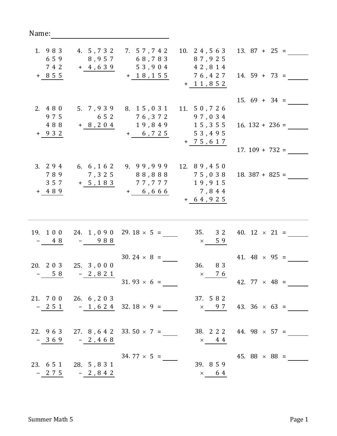| 1. 983<br>659<br>7 4 2<br>$+ 855$ | 4. 5, 7 3 2<br>8,957<br>$+ 4, 639$   | 7. 57,742<br>68,783<br>53,904<br>$+ 18, 155$ | 10. $24,563$<br>87,925<br>42,814<br>76,427<br>$+ 11, 852$ | $13.87 + 25 =$<br>$14.59 + 73 =$                                    |
|-----------------------------------|--------------------------------------|----------------------------------------------|-----------------------------------------------------------|---------------------------------------------------------------------|
| 2. 4 8 0<br>975<br>488<br>$+ 932$ | 5. 7,939<br>6 5 2<br>$+ 8, 204$      | 8. 15, 031<br>76,372<br>19,849<br>$+ 6, 725$ | 11. 50,726<br>97,034<br>15,355<br>53,495<br>$+ 75, 617$   | $15.69 + 34 =$<br>$16.132 + 236 =$<br>$17.109 + 732 =$              |
| 3. $294$<br>789<br>357<br>$+ 489$ | 6. 6, 162<br>7,325<br>$+ 5, 183$     | 9.99,999<br>88,888<br>77,777<br>$+ 6, 666$   | 12. 89,450<br>75,038<br>19,915<br>7,844<br>$+ 64, 925$    | $18.387 + 825 =$                                                    |
| 19. 1 0 0<br>48                   | 988                                  | 24. 1, 0 9 0 29. $18 \times 5 =$             | 35.<br>3 2<br>59<br>$\times$                              | 40. $12 \times 21 =$                                                |
| 20. 2 0 3<br>5 8                  | 25. 3,000<br>$-2,821$                | $30.24 \times 8 =$<br>$31.93 \times 6 =$     | 36.<br>83<br>$\times$ 76                                  | 41. 48 $\times$ 95 =<br>42. $77 \times 48 =$                        |
|                                   | 21. 7 0 0 26. 6, 2 0 3               |                                              | 37. 582                                                   | $-251$ $-1,624$ 32.18 $\times$ 9 = $\times$ 9.7 43.36 $\times$ 63 = |
|                                   | $-369 -2,468$                        | 22. $963$ 27. $8, 642$ 33. $50 \times 7 =$   | $\times$ 44                                               | 38. 2 2 2 44. 98 $\times$ 57 =                                      |
|                                   | 23. 651 28. 5,831<br>$-275$ $-2,842$ | $34.77 \times 5 =$                           | 39. 8 5 9<br>$\times$ 64                                  | 45. 88 $\times$ 88 =                                                |

 $\overline{\phantom{0}}$ 

Name: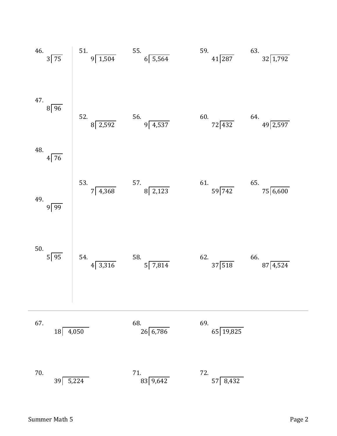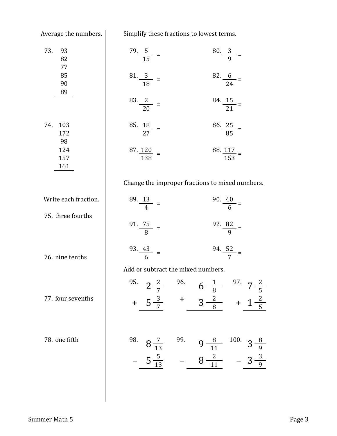Average the numbers.

Simplify these fractions to lowest terms.

| 73.<br>93<br>82<br>77   | $\frac{79.5}{15}$ =                | $\frac{80.3}{9}$ =                                          |
|-------------------------|------------------------------------|-------------------------------------------------------------|
| 85<br>90<br>89          | $\frac{81}{18}$ =                  | $\frac{82.6}{24}$ =                                         |
|                         | $\frac{83.2}{20}$ =                | $\frac{84.15}{21}$ =                                        |
| 74.<br>103<br>172<br>98 | $\frac{85.18}{27}$ =               | $\frac{86.25}{85}$ =                                        |
| 124<br>157<br>161       | $\frac{87.120}{138}$ =             | $\frac{88.117}{153}$ =                                      |
|                         |                                    | Change the improper fractions to mixed numbers.             |
| Write each fraction.    | $\frac{89.13}{4}$ =                | $\frac{90.40}{6}$ =                                         |
| 75. three fourths       | $\frac{91.75}{8}$ =                | 92. $\frac{82}{9}$ =                                        |
| 76. nine tenths         | $\frac{93.43}{6}$ =                | 94. $rac{52}{7}$ =                                          |
|                         | Add or subtract the mixed numbers. |                                                             |
|                         |                                    | 95. $2\frac{2}{7}$ 96. $6\frac{1}{8}$ 97. $7\frac{2}{5}$    |
| 77. four sevenths       |                                    | $+ 5\frac{3}{7}$ + $3\frac{2}{8}$ + $1\frac{2}{5}$          |
| 78. one fifth           |                                    | 98. $8\frac{7}{13}$ 99. $9\frac{8}{11}$ 100. $3\frac{8}{9}$ |
|                         |                                    | $-5\frac{5}{13}$ $-8\frac{2}{11}$ $-3\frac{3}{9}$           |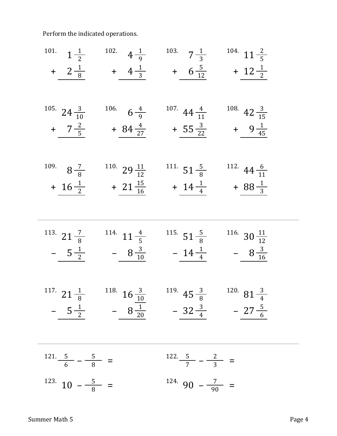Perform the indicated operations.

101. 
$$
1\frac{1}{2}
$$
 102.  $4\frac{1}{9}$  103.  $7\frac{1}{3}$  104.  $11\frac{2}{5}$   
\n+  $2\frac{1}{8}$  +  $4\frac{1}{3}$  +  $6\frac{5}{12}$  +  $12\frac{1}{2}$   
\n105.  $24\frac{3}{10}$  106.  $6\frac{4}{9}$  107.  $44\frac{4}{11}$  108.  $42\frac{3}{15}$   
\n+  $7\frac{2}{5}$  +  $84\frac{4}{27}$  +  $55\frac{3}{22}$  +  $9\frac{1}{45}$   
\n109.  $8\frac{7}{8}$  110.  $29\frac{11}{12}$  111.  $51\frac{5}{8}$  112.  $44\frac{6}{11}$   
\n+  $16\frac{1}{2}$  +  $21\frac{15}{16}$  +  $14\frac{1}{4}$  +  $88\frac{1}{3}$   
\n113.  $21\frac{7}{8}$  114.  $11\frac{4}{5}$  115.  $51\frac{5}{8}$  116.  $30\frac{11}{12}$   
\n-  $\frac{5\frac{1}{2}}$  -  $8\frac{3}{10}$  -  $14\frac{1}{4}$  -  $8\frac{3}{16}$   
\n117.  $21\frac{1}{8}$  118.  $16\frac{3}{10}$  119.  $45\frac{3}{8}$  120.  $81\frac{3}{4}$   
\n-  $\frac{5\frac{1}{2}}$  -  $8\frac{1}{20}$  -  $32\frac{3}{4}$  -  $27\frac{5}{6}$   
\n121.  $\frac{5}{6}$  -  $\frac{5}{8}$  = 122.  $\frac$